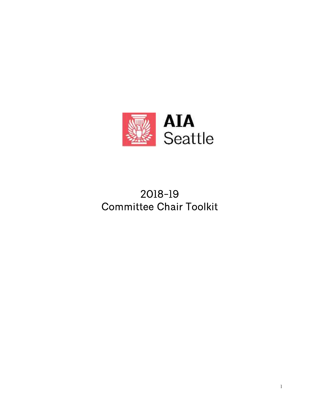

# **2018-19 Committee Chair Toolkit**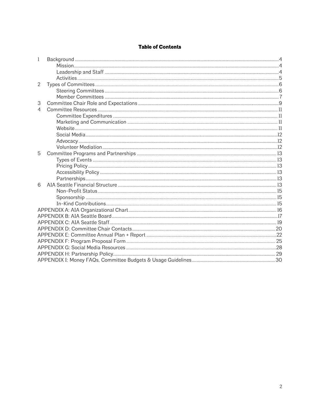# **Table of Contents**

| 1 |  |
|---|--|
|   |  |
|   |  |
|   |  |
| 2 |  |
|   |  |
|   |  |
| 3 |  |
| 4 |  |
|   |  |
|   |  |
|   |  |
|   |  |
|   |  |
|   |  |
| 5 |  |
|   |  |
|   |  |
|   |  |
|   |  |
| 6 |  |
|   |  |
|   |  |
|   |  |
|   |  |
|   |  |
|   |  |
|   |  |
|   |  |
|   |  |
|   |  |
|   |  |
|   |  |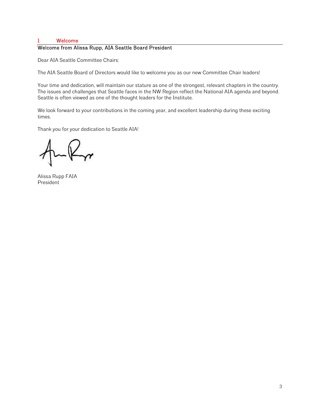# **1 Welcome**

# **Welcome from Alissa Rupp, AIA Seattle Board President**

Dear AIA Seattle Committee Chairs:

The AIA Seattle Board of Directors would like to welcome you as our new Committee Chair leaders!

Your time and dedication, will maintain our stature as one of the strongest, relevant chapters in the country. The issues and challenges that Seattle faces in the NW Region reflect the National AIA agenda and beyond. Seattle is often viewed as one of the thought leaders for the Institute.

We look forward to your contributions in the coming year, and excellent leadership during these exciting times.

Thank you for your dedication to Seattle AIA!

Alissa Rupp FAIA President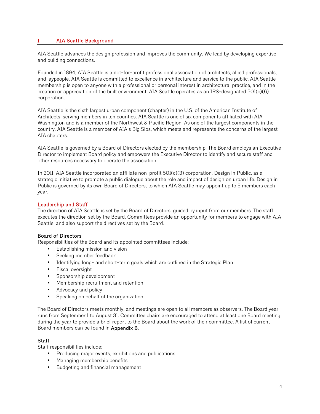# **1 AIA Seattle Background**

AIA Seattle advances the design profession and improves the community. We lead by developing expertise and building connections.

Founded in 1894, AIA Seattle is a not-for-profit professional association of architects, allied professionals, and laypeople. AIA Seattle is committed to excellence in architecture and service to the public. AIA Seattle membership is open to anyone with a professional or personal interest in architectural practice, and in the creation or appreciation of the built environment. AIA Seattle operates as an IRS-designated 501(c)(6) corporation.

AIA Seattle is the sixth largest urban component (chapter) in the U.S. of the American Institute of Architects, serving members in ten counties. AIA Seattle is one of six components affiliated with AIA Washington and is a member of the Northwest & Pacific Region. As one of the largest components in the country, AIA Seattle is a member of AIA's Big Sibs, which meets and represents the concerns of the largest AIA chapters.

AIA Seattle is governed by a Board of Directors elected by the membership. The Board employs an Executive Director to implement Board policy and empowers the Executive Director to identify and secure staff and other resources necessary to operate the association.

In 2011, AIA Seattle incorporated an affiliate non-profit 501(c)(3) corporation, Design in Public, as a strategic initiative to promote a public dialogue about the role and impact of design on urban life. Design in Public is governed by its own Board of Directors, to which AIA Seattle may appoint up to 5 members each year.

# **Leadership and Staff**

The direction of AIA Seattle is set by the Board of Directors, guided by input from our members. The staff executes the direction set by the Board. Committees provide an opportunity for members to engage with AIA Seattle, and also support the directives set by the Board.

# **Board of Directors**

Responsibilities of the Board and its appointed committees include:

- Establishing mission and vision
- Seeking member feedback
- Identifying long- and short-term goals which are outlined in the Strategic Plan
- Fiscal oversight
- Sponsorship development
- Membership recruitment and retention
- Advocacy and policy
- Speaking on behalf of the organization

The Board of Directors meets monthly, and meetings are open to all members as observers. The Board year runs from September 1 to August 31. Committee chairs are encouraged to attend at least one Board meeting during the year to provide a brief report to the Board about the work of their committee. A list of current Board members can be found in **Appendix B**.

# **Staff**

Staff responsibilities include:

- Producing major events, exhibitions and publications
- Managing membership benefits
- Budgeting and financial management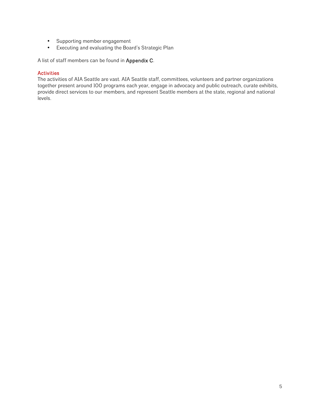- Supporting member engagement
- Executing and evaluating the Board's Strategic Plan

A list of staff members can be found in **Appendix C**.

# **Activities**

The activities of AIA Seattle are vast. AIA Seattle staff, committees, volunteers and partner organizations together present around 100 programs each year, engage in advocacy and public outreach, curate exhibits, provide direct services to our members, and represent Seattle members at the state, regional and national levels.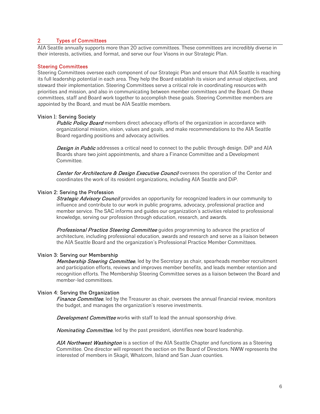# **2 Types of Committees**

AIA Seattle annually supports more than 20 active committees. These committees are incredibly diverse in their interests, activities, and format, and serve our four Visons in our Strategic Plan.

#### **Steering Committees**

Steering Committees oversee each component of our Strategic Plan and ensure that AIA Seattle is reaching its full leadership potential in each area. They help the Board establish its vision and annual objectives, and steward their implementation. Steering Committees serve a critical role in coordinating resources with priorities and mission, and also in communicating between member committees and the Board. On these committees, staff and Board work together to accomplish these goals. Steering Committee members are appointed by the Board, and must be AIA Seattle members.

#### **Vision 1: Serving Society**

*Public Policy Board* members direct advocacy efforts of the organization in accordance with organizational mission, vision, values and goals, and make recommendations to the AIA Seattle Board regarding positions and advocacy activities.

*Design in Public* addresses a critical need to connect to the public through design. DiP and AIA Boards share two joint appointments, and share a Finance Committee and a Development Committee.

*Center for Architecture & Design Executive Council* oversees the operation of the Center and coordinates the work of its resident organizations, including AIA Seattle and DiP.

#### **Vision 2: Serving the Profession**

*Strategic Advisory Council* provides an opportunity for recognized leaders in our community to influence and contribute to our work in public programs, advocacy, professional practice and member service. The SAC informs and guides our organization's activities related to professional knowledge, serving our profession through education, research, and awards.

*Professional Practice Steering Committee* guides programming to advance the practice of architecture, including professional education, awards and research and serve as a liaison between the AIA Seattle Board and the organization's Professional Practice Member Committees.

#### **Vision 3: Serving our Membership**

*Membership Steering Committee*, led by the Secretary as chair, spearheads member recruitment and participation efforts, reviews and improves member benefits, and leads member retention and recognition efforts. The Membership Steering Committee serves as a liaison between the Board and member-led committees.

#### **Vision 4: Serving the Organization**

*Finance Committee*, led by the Treasurer as chair, oversees the annual financial review, monitors the budget, and manages the organization's reserve investments.

*Development Committee* works with staff to lead the annual sponsorship drive.

*Nominating Committee*, led by the past president, identifies new board leadership.

*AIA Northwest Washington* is a section of the AIA Seattle Chapter and functions as a Steering Committee. One director will represent the section on the Board of Directors. NWW represents the interested of members in Skagit, Whatcom, Island and San Juan counties.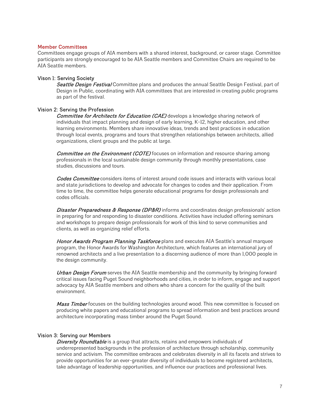#### **Member Committees**

Committees engage groups of AIA members with a shared interest, background, or career stage. Committee participants are strongly encouraged to be AIA Seattle members and Committee Chairs are required to be AIA Seattle members.

# **Vison 1: Serving Society**

*Seattle Design Festival* Committee plans and produces the annual Seattle Design Festival, part of Design in Public, coordinating with AIA committees that are interested in creating public programs as part of the festival.

# **Vision 2: Serving the Profession**

*Committee for Architects for Education (CAE)* develops a knowledge sharing network of individuals that impact planning and design of early learning, K-12, higher education, and other learning environments. Members share innovative ideas, trends and best practices in education through local events, programs and tours that strengthen relationships between architects, allied organizations, client groups and the public at large.

*Committee on the Environment (COTE)* focuses on information and resource sharing among professionals in the local sustainable design community through monthly presentations, case studies, discussions and tours.

*Codes Committee* considers items of interest around code issues and interacts with various local and state jurisdictions to develop and advocate for changes to codes and their application. From time to time, the committee helps generate educational programs for design professionals and codes officials.

*Disaster Preparedness & Response (DP&R)* informs and coordinates design professionals' action in preparing for and responding to disaster conditions. Activities have included offering seminars and workshops to prepare design professionals for work of this kind to serve communities and clients, as well as organizing relief efforts.

*Honor Awards Program Planning Taskforce* plans and executes AIA Seattle's annual marquee program, the Honor Awards for Washington Architecture, which features an international jury of renowned architects and a live presentation to a discerning audience of more than 1,000 people in the design community.

*Urban Design Forum* serves the AIA Seattle membership and the community by bringing forward critical issues facing Puget Sound neighborhoods and cities, in order to inform, engage and support advocacy by AIA Seattle members and others who share a concern for the quality of the built environment.

*Mass Timber* focuses on the building technologies around wood. This new committee is focused on producing white papers and educational programs to spread information and best practices around architecture incorporating mass timber around the Puget Sound.

# **Vision 3: Serving our Members**

*Diversity Roundtable* is a group that attracts, retains and empowers individuals of underrepresented backgrounds in the profession of architecture through scholarship, community service and activism. The committee embraces and celebrates diversity in all its facets and strives to provide opportunities for an ever-greater diversity of individuals to become registered architects, take advantage of leadership opportunities, and influence our practices and professional lives.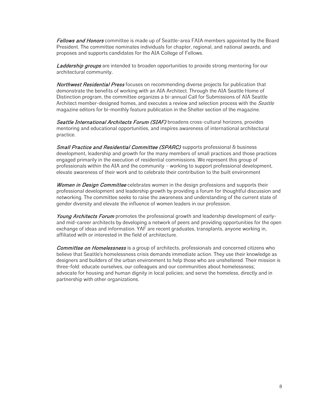*Fellows and Honors* committee is made up of Seattle-area FAIA members appointed by the Board President. The committee nominates individuals for chapter, regional, and national awards, and proposes and supports candidates for the AIA College of Fellows.

*Laddership groups* are intended to broaden opportunities to provide strong mentoring for our architectural community**.**

*Northwest Residential Press* focuses on recommending diverse projects for publication that demonstrate the benefits of working with an AIA Architect. Through the AIA Seattle Home of Distinction program, the committee organizes a bi-annual Call for Submissions of AIA Seattle Architect member-designed homes, and executes a review and selection process with the *Seattle* magazine editors for bi-monthly feature publication in the Shelter section of the magazine.

*Seattle International Architects Forum (SIAF)* broadens cross-cultural horizons, provides mentoring and educational opportunities, and inspires awareness of international architectural practice.

*Small Practice and Residential Committee (SPARC)* supports professional & business development, leadership and growth for the many members of small practices and those practices engaged primarily in the execution of residential commissions. We represent this group of professionals within the AIA and the community – working to support professional development, elevate awareness of their work and to celebrate their contribution to the built environment

*Women in Design Committee* celebrates women in the design professions and supports their professional development and leadership growth by providing a forum for thoughtful discussion and networking. The committee seeks to raise the awareness and understanding of the current state of gender diversity and elevate the influence of women leaders in our profession.

*Young Architects Forum* promotes the professional growth and leadership development of early and mid-career architects by developing a network of peers and providing opportunities for the open exchange of ideas and information. YAF are recent graduates, transplants, anyone working in, affiliated with or interested in the field of architecture.

*Committee on Homelessness* is a group of architects, professionals and concerned citizens who believe that Seattle's homelessness crisis demands immediate action. They use their knowledge as designers and builders of the urban environment to help those who are unsheltered. Their mission is three-fold: educate ourselves, our colleagues and our communities about homelessness; advocate for housing and human dignity in local policies; and serve the homeless, directly and in partnership with other organizations.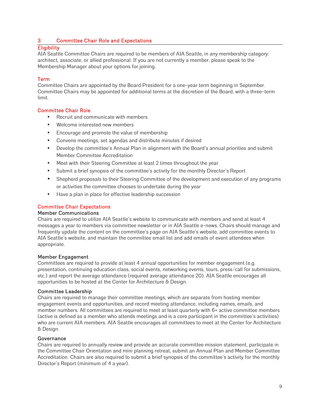# **3 Committee Chair Role and Expectations**

# **Eligibility**

AIA Seattle Committee Chairs are required to be members of AIA Seattle, in any membership category: architect, associate, or allied professional. If you are not currently a member, please speak to the Membership Manager about your options for joining.

# **Term**

Committee Chairs are appointed by the Board President for a one-year term beginning in September. Committee Chairs may be appointed for additional terms at the discretion of the Board, with a three-term limit.

# **Committee Chair Role**

- Recruit and communicate with members
- Welcome interested new members
- Encourage and promote the value of membership
- Convene meetings, set agendas and distribute minutes if desired
- Develop the committee's Annual Plan in alignment with the Board's annual priorities and submit Member Committee Accreditation
- Meet with their Steering Committee at least 2 times throughout the year
- Submit a brief synopsis of the committee's activity for the monthly Director's Report
- Shepherd proposals to their Steering Committee of the development and execution of any programs or activities the committee chooses to undertake during the year
- Have a plan in place for effective leadership succession

# **Committee Chair Expectations**

## **Member Communications**

Chairs are required to utilize AIA Seattle's website to communicate with members and send at least 4 messages a year to members via committee newsletter or in AIA Seattle e-news. Chairs should manage and frequently update the content on the committee's page on AIA Seattle's website, add committee events to AIA Seattle's website, and maintain the committee email list and add emails of event attendees when appropriate.

#### **Member Engagement**

Committees are required to provide at least 4 annual opportunities for member engagement (e.g. presentation, continuing education class, social events, networking events, tours, press/call for submissions, etc.) and report the average attendance (required average attendance 20). AIA Seattle encourages all opportunities to be hosted at the Center for Architecture & Design.

#### **Committee Leadership**

Chairs are required to manage their committee meetings, which are separate from hosting member engagement events and opportunities, and record meeting attendance, including names, emails, and member numbers. All committees are required to meet at least quarterly with 6+ active committee members (active is defined as a member who attends meetings and is a core participant in the committee's activities) who are current AIA members. AIA Seattle encourages all committees to meet at the Center for Architecture & Design.

#### **Governance**

Chairs are required to annually review and provide an accurate committee mission statement, participate in the Committee Chair Orientation and mini planning retreat, submit an Annual Plan and Member Committee Accreditation. Chairs are also required to submit a brief synopsis of the committee's activity for the monthly Director's Report (minimum of 4 a year).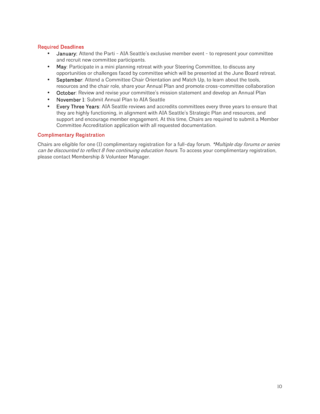# **Required Deadlines**

- **January:** Attend the Parti AIA Seattle's exclusive member event to represent your committee and recruit new committee participants.
- **May**: Participate in a mini planning retreat with your Steering Committee, to discuss any opportunities or challenges faced by committee which will be presented at the June Board retreat.
- **September**: Attend a Committee Chair Orientation and Match Up, to learn about the tools, resources and the chair role, share your Annual Plan and promote cross-committee collaboration
- **October**: Review and revise your committee's mission statement and develop an Annual Plan
- **November 1**: Submit Annual Plan to AIA Seattle
- **Every Three Years**: AIA Seattle reviews and accredits committees every three years to ensure that they are highly functioning, in alignment with AIA Seattle's Strategic Plan and resources, and support and encourage member engagement. At this time, Chairs are required to submit a Member Committee Accreditation application with all requested documentation.

# **Complimentary Registration**

Chairs are eligible for one (1) complimentary registration for a full-day forum. *\*Multiple day forums or series can be discounted to reflect 8 free continuing education hours.* To access your complimentary registration, please contact Membership & Volunteer Manager.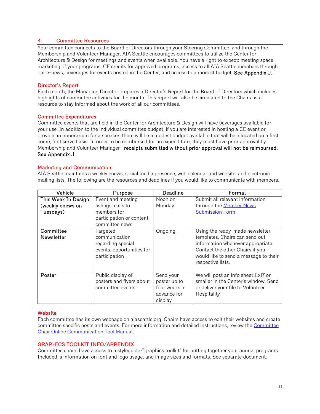## **4 Committee Resources**

Your committee connects to the Board of Directors through your Steering Committee, and through the Membership and Volunteer Manager. AIA Seattle encourages committees to utilize the Center for Architecture & Design for meetings and events when available. You have a right to expect: meeting space, marketing of your programs, CE credits for approved programs, access to all AIA Seattle members through our e-news, beverages for events hosted in the Center, and access to a modest budget. **See Appendix J.**

## **Director's Report**

Each month, the Managing Director prepares a Director's Report for the Board of Directors which includes highlights of committee activities for the month. This report will also be circulated to the Chairs as a resource to stay informed about the work of all our committees.

## **Committee Expenditures**

Committee events that are held in the Center for Architecture & Design will have beverages available for your use. In addition to the individual committee budget, if you are interested in hosting a CE event or provide an honorarium for a speaker, there will be a modest budget available that will be allocated on a first come, first serve basis. In order to be reimbursed for an expenditure, they must have prior approval by Membership and Volunteer Manager– **receipts submitted without prior approval will not be reimbursed. See Appendix J.**

## **Marketing and Communication**

AIA Seattle maintains a weekly enews, social media presence, web calendar and website, and electronic mailing lists. The following are the resources and deadlines if you would like to communicate with members.

| Vehicle                                              | Purpose                                                                                               | Deadline                                                             | Format                                                                                                                                                                                                  |
|------------------------------------------------------|-------------------------------------------------------------------------------------------------------|----------------------------------------------------------------------|---------------------------------------------------------------------------------------------------------------------------------------------------------------------------------------------------------|
| This Week In Design<br>(weekly enews on<br>Tuesdays) | Event and meeting<br>listings, calls to<br>members for<br>participation or content,<br>committee news | Noon on<br>Monday                                                    | Submit all relevant information<br>through the <b>Member News</b><br><b>Submission Form</b>                                                                                                             |
| Committee<br><b>Newsletter</b>                       | Targeted<br>communication<br>regarding special<br>events, opportunities for<br>participation          | Ongoing                                                              | Using the ready-made newsletter<br>templates, Chairs can send out<br>information whenever appropriate.<br>Contact the other Chairs if you<br>would like to send a message to their<br>respective lists. |
| Poster                                               | Public display of<br>posters and flyers about<br>committee events                                     | Send your<br>poster up to<br>four weeks in<br>advance for<br>display | We will post an info sheet llxl7 or<br>smaller in the Center's window. Send<br>or deliver your file to Volunteer<br>Hospitality                                                                         |

#### **Website**

Each committee has its own webpage on aiaseattle.org. Chairs have access to edit their websites and create committee specific posts and events. For more information and detailed instructions, review the Committee Chair Online Communication Tool Manual.

#### **GRAPHICS TOOLKIT INFO/APPENDIX**

Committee chairs have access to a styleguide/"graphics toolkit" for putting together your annual programs. Included is information on font and logo usage, and image sizes and formats. See separate document.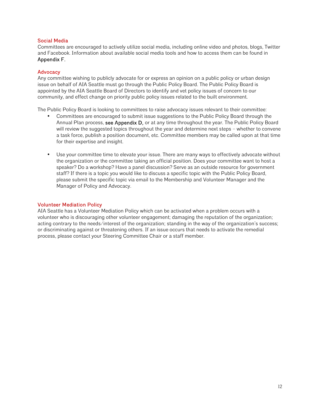# **Social Media**

Committees are encouraged to actively utilize social media, including online video and photos, blogs, Twitter and Facebook. Information about available social media tools and how to access them can be found in **Appendix F.**

# **Advocacy**

Any committee wishing to publicly advocate for or express an opinion on a public policy or urban design issue on behalf of AIA Seattle must go through the Public Policy Board. The Public Policy Board is appointed by the AIA Seattle Board of Directors to identify and vet policy issues of concern to our community, and effect change on priority public policy issues related to the built environment.

The Public Policy Board is looking to committees to raise advocacy issues relevant to their committee:

- Committees are encouraged to submit issue suggestions to the Public Policy Board through the Annual Plan process, **see Appendix D,** or at any time throughout the year. The Public Policy Board will review the suggested topics throughout the year and determine next steps – whether to convene a task force, publish a position document, etc. Committee members may be called upon at that time for their expertise and insight.
- Use your committee time to elevate your issue. There are many ways to effectively advocate without the organization or the committee taking an official position. Does your committee want to host a speaker? Do a workshop? Have a panel discussion? Serve as an outside resource for government staff? If there is a topic you would like to discuss a specific topic with the Public Policy Board, please submit the specific topic via email to the Membership and Volunteer Manager and the Manager of Policy and Advocacy.

# **Volunteer Mediation Policy**

AIA Seattle has a Volunteer Mediation Policy which can be activated when a problem occurs with a volunteer who is discouraging other volunteer engagement; damaging the reputation of the organization; acting contrary to the needs/interest of the organization; standing in the way of the organization's success; or discriminating against or threatening others. If an issue occurs that needs to activate the remedial process, please contact your Steering Committee Chair or a staff member.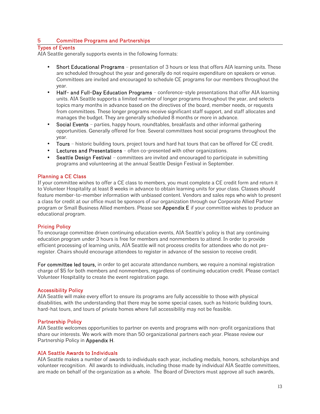# **5 Committee Programs and Partnerships**

## **Types of Events**

AIA Seattle generally supports events in the following formats:

- **Short Educational Programs** presentation of 3 hours or less that offers AIA learning units. These are scheduled throughout the year and generally do not require expenditure on speakers or venue. Committees are invited and encouraged to schedule CE programs for our members throughout the year.
- **Half- and Full-Day Education Programs** conference-style presentations that offer AIA learning units. AIA Seattle supports a limited number of longer programs throughout the year, and selects topics many months in advance based on the directives of the board, member needs, or requests from committees. These longer programs receive significant staff support, and staff allocates and manages the budget. They are generally scheduled 8 months or more in advance.
- **Social Events** parties, happy hours, roundtables, breakfasts and other informal gathering opportunities. Generally offered for free. Several committees host social programs throughout the year.
- **Tours** historic building tours, project tours and hard hat tours that can be offered for CE credit.
- **Lectures and Presentations** often co-presented with other organizations.
- **Seattle Design Festival** committees are invited and encouraged to participate in submitting programs and volunteering at the annual Seattle Design Festival in September.

# **Planning a CE Class**

If your committee wishes to offer a CE class to members, you must complete a CE credit form and return it to Volunteer Hospitality at least 8 weeks in advance to obtain learning units for your class. Classes should feature member-to-member information with unbiased content. Vendors and sales reps who wish to present a class for credit at our office must be sponsors of our organization through our Corporate Allied Partner program or Small Business Allied members. Please see **Appendix E** if your committee wishes to produce an educational program.

# **Pricing Policy**

To encourage committee driven continuing education events, AIA Seattle's policy is that any continuing education program under 3 hours is free for members and nonmembers to attend. In order to provide efficient processing of learning units, AIA Seattle will not process credits for attendees who do not preregister. Chairs should encourage attendees to register in advance of the session to receive credit.

**For committee led tours,** in order to get accurate attendance numbers, we require a nominal registration charge of \$5 for both members and nonmembers, regardless of continuing education credit. Please contact Volunteer Hospitality to create the event registration page.

#### **Accessibility Policy**

AIA Seattle will make every effort to ensure its programs are fully accessible to those with physical disabilities, with the understanding that there may be some special cases, such as historic building tours, hard-hat tours, and tours of private homes where full accessibility may not be feasible.

# **Partnership Policy**

AIA Seattle welcomes opportunities to partner on events and programs with non-profit organizations that share our interests. We work with more than 50 organizational partners each year. Please review our Partnership Policy in **Appendix H**.

#### **AIA Seattle Awards to Individuals**

AIA Seattle makes a number of awards to individuals each year, including medals, honors, scholarships and volunteer recognition. All awards to individuals, including those made by individual AIA Seattle committees, are made on behalf of the organization as a whole. The Board of Directors must approve all such awards,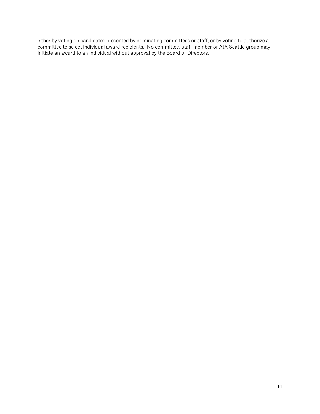either by voting on candidates presented by nominating committees or staff, or by voting to authorize a committee to select individual award recipients. No committee, staff member or AIA Seattle group may initiate an award to an individual without approval by the Board of Directors.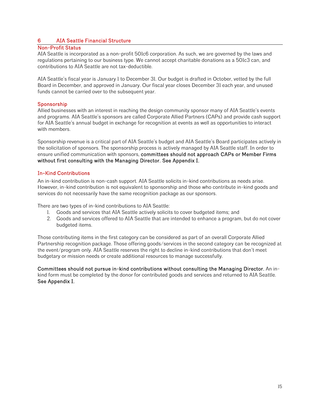# **6 AIA Seattle Financial Structure**

# **Non-Profit Status**

AIA Seattle is incorporated as a non-profit 501c6 corporation. As such, we are governed by the laws and regulations pertaining to our business type. We cannot accept charitable donations as a 501c3 can, and contributions to AIA Seattle are not tax-deductible.

AIA Seattle's fiscal year is January 1 to December 31. Our budget is drafted in October, vetted by the full Board in December, and approved in January. Our fiscal year closes December 31 each year, and unused funds cannot be carried over to the subsequent year.

# **Sponsorship**

Allied businesses with an interest in reaching the design community sponsor many of AIA Seattle's events and programs. AIA Seattle's sponsors are called Corporate Allied Partners (CAPs) and provide cash support for AIA Seattle's annual budget in exchange for recognition at events as well as opportunities to interact with members.

Sponsorship revenue is a critical part of AIA Seattle's budget and AIA Seattle's Board participates actively in the solicitation of sponsors. The sponsorship process is actively managed by AIA Seattle staff. In order to ensure unified communication with sponsors, **committees should not approach CAPs or Member Firms without first consulting with the Managing Director. See Appendix I.**

# **In-Kind Contributions**

An in-kind contribution is non-cash support. AIA Seattle solicits in-kind contributions as needs arise. However, in-kind contribution is not equivalent to sponsorship and those who contribute in-kind goods and services do not necessarily have the same recognition package as our sponsors.

There are two types of in-kind contributions to AIA Seattle:

- 1. Goods and services that AIA Seattle actively solicits to cover budgeted items; and
- 2. Goods and services offered to AIA Seattle that are intended to enhance a program, but do not cover budgeted items.

Those contributing items in the first category can be considered as part of an overall Corporate Allied Partnership recognition package. Those offering goods/services in the second category can be recognized at the event/program only. AIA Seattle reserves the right to decline in-kind contributions that don't meet budgetary or mission needs or create additional resources to manage successfully.

**Committees should not pursue in-kind contributions without consulting the Managing Director.** An in kind form must be completed by the donor for contributed goods and services and returned to AIA Seattle. **See Appendix I.**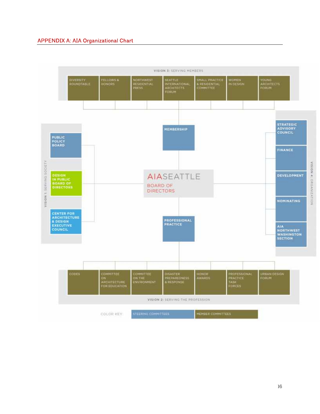# **APPENDIX A: AIA Organizational Chart**

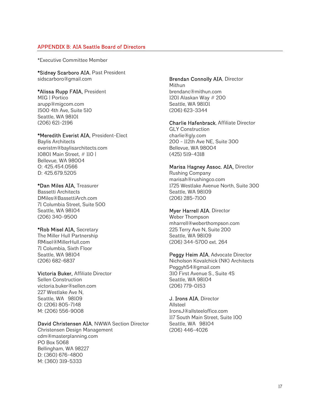# **APPENDIX B: AIA Seattle Board of Directors**

\*Executive Committee Member

**\*Sidney Scarboro AIA**, Past President sidscarboro@gmail.com

## **\*Alissa Rupp FAIA,** President

MIG | Portico arupp@migcom.com 1500 4th Ave, Suite 510 Seattle, WA 98101 (206) 621-2196

#### **\*Meredith Everist AIA,** President-Elect

Baylis Architects everistm@baylisarchitects.com 10801 Main Street, # 110 | Bellevue, WA 98004 O: 425.454.0566 D: 425.679.5205

#### **\*Dan Miles AIA,** Treasurer

Bassetti Architects DMiles@BassettiArch.com 71 Columbia Street, Suite 500 Seattle, WA 98104 (206) 340-9500

#### **\*Rob Misel AIA,** Secretary

The Miller Hull Partnership RMisel@MillerHull.com 71 Columbia, Sixth Floor Seattle, WA 98104 (206) 682-6837

# **Victoria Buker,** Affiliate Director Sellen Construction

victoria.buker@sellen.com 227 Westlake Ave N, Seattle, WA 98109 O: (206) 805-7148 M: (206) 556-9008

# **David Christensen AIA**, NWWA Section Director

Christensen Design Management cdm@masterplanning.com PO Box 5068 Bellingham, WA 98227 D: (360) 676-4800 M: (360) 319-5333

#### **Brendan Connolly AIA**, Director Mithun

brendanc@mithun.com 1201 Alaskan Way # 200 Seattle, WA 98101 (206) 623-3344

# **Charlie Hafenbrack**, Affiliate Director

GLY Construction charlie@gly.com 200 - 112th Ave NE, Suite 300 Bellevue, WA 98004 (425) 519-4318

#### **Marisa Hagney Assoc. AIA,** Director

Rushing Company marisah@rushingco.com 1725 Westlake Avenue North, Suite 300 Seattle, WA 98109 (206) 285-7100

## **Myer Harrell AIA**, Director

Weber Thompson mharrell@weberthompson.com 225 Terry Ave N, Suite 200 Seattle, WA 98109 (206) 344-5700 ext. 264

#### **Peggy Heim AIA**, Advocate Director

Nicholson Kovalchick (NK) Architects Peggyh54@gmail.com 310 First Avenue S., Suite 4S Seattle, WA 98104 (206) 779-0153

#### **J. Irons AIA**, Director

Allsteel IronsJ@allsteeloffice.com 117 South Main Street, Suite 100 Seattle, WA 98104 (206) 446-4026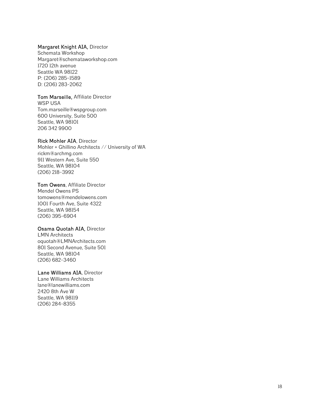#### **Margaret Knight AIA,** Director

Schemata Workshop Margaret@schemataworkshop.com 1720 12th avenue Seattle WA 98122 P: (206) 285-1589 D: (206) 283-2062

#### **Tom Marseille,** Affiliate Director

WSP USA Tom.marseille@wspgroup.com 600 University, Suite 500 Seattle, WA 98101 206 342 9900

# **Rick Mohler AIA**, Director

Mohler + Ghillino Architects // University of WA rickm@archmg.com 911 Western Ave, Suite 550 Seattle, WA 98104 (206) 218-3992

#### **Tom Owens**, Affiliate Director

Mendel Owens PS tomowens@mendelowens.com 1001 Fourth Ave, Suite 4322 Seattle, WA 98154 (206) 395-6904

#### **Osama Quotah AIA,** Director

LMN Architects oquotah@LMNArchitects.com 801 Second Avenue, Suite 501 Seattle, WA 98104 (206) 682-3460

#### **Lane Williams AIA**, Director

Lane Williams Architects lane@lanewilliams.com 2420 8th Ave W Seattle, WA 98119 (206) 284-8355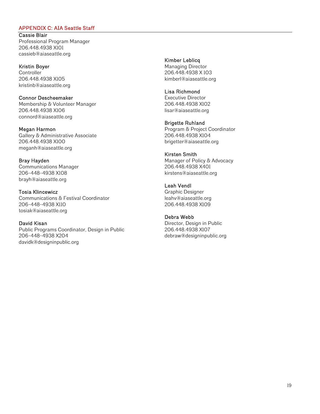### **APPENDIX C: AIA Seattle Staff**

**Cassie Blair** Professional Program Manager 206.448.4938 X101 cassieb@aiaseattle.org

**Kristin Boyer Controller** 206.448.4938 X105 kristinb@aiaseattle.org

**Connor Descheemaker** Membership & Volunteer Manager 206.448.4938 X106 connord@aiaseattle.org

**Megan Harmon** Gallery & Administrative Associate 206.448.4938 X100 meganh@aiaseattle.org

**Bray Hayden** Communications Manager 206-448-4938 X108 brayh@aiaseattle.org

**Tosia Klincewicz** Communications & Festival Coordinator 206-448-4938 X110 tosiak@aiaseattle.org

**David Kisan** Public Programs Coordinator, Design in Public 206-448-4938 X204 davidk@designinpublic.org

**Kimber Leblicq** Managing Director 206.448.4938 X 103 kimberl@aiaseattle.org

**Lisa Richmond** Executive Director 206.448.4938 X102 lisar@aiaseattle.org

**Brigette Ruhland** Program & Project Coordinator 206.448.4938 X104 brigetter@aiaseattle.org

**Kirsten Smith** Manager of Policy & Advocacy 206.448.4938 X401 kirstens@aiaseattle.org

**Leah Vendl** Graphic Designer leahv@aiaseattle.org 206.448.4938 X109

**Debra Webb** Director, Design in Public 206.448.4938 X107 debraw@designinpublic.org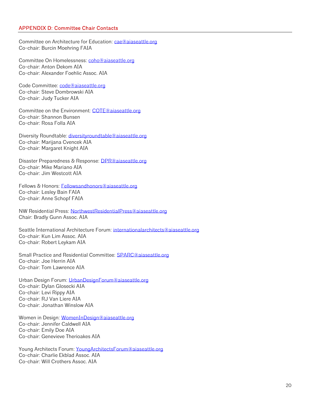Committee on Architecture for Education: cae@aiaseattle.org Co-chair: Burcin Moehring FAIA

Committee On Homelessness: coho@aiaseattle.org Co-chair: Anton Dekom AIA Co-chair: Alexander Foehlic Assoc. AIA

Code Committee: code@aiaseattle.org Co-chair: Steve Dombrowski AIA Co-chair: Judy Tucker AIA

Committee on the Environment: COTE@aiaseattle.org Co-chair: Shannon Bunsen Co-chair: Rosa Folla AIA

Diversity Roundtable: diversityroundtable@aiaseattle.org Co-chair: Marijana Cvencek AIA Co-chair: Margaret Knight AIA

Disaster Preparedness & Response: DPR@aiaseattle.org Co-chair: Mike Mariano AIA Co-chair: Jim Westcott AIA

Fellows & Honors: Fellowsandhonors@aiaseattle.org Co-chair: Lesley Bain FAIA Co-chair: Anne Schopf FAIA

NW Residential Press: NorthwestResidentialPress@aiaseattle.org Chair: Bradly Gunn Assoc. AIA

Seattle International Architecture Forum: internationalarchitects@aiaseattle.org Co-chair: Kun Lim Assoc. AIA Co-chair: Robert Leykam AIA

Small Practice and Residential Committee: SPARC@aiaseattle.org Co-chair: Joe Herrin AIA Co-chair: Tom Lawrence AIA

Urban Design Forum: UrbanDesignForum@aiaseattle.org Co-chair: Dylan Glosecki AIA Co-chair: Levi Rippy AIA Co-chair: RJ Van Liere AIA Co-chair: Jonathan Winslow AIA

Women in Design: WomenInDesign@aiaseattle.org Co-chair: Jennifer Caldwell AIA Co-chair: Emily Doe AIA Co-chair: Genevieve Therioakes AIA

Young Architects Forum: YoungArchitectsForum@aiaseattle.org Co-chair: Charlie Ekblad Assoc. AIA Co-chair: Will Crothers Assoc. AIA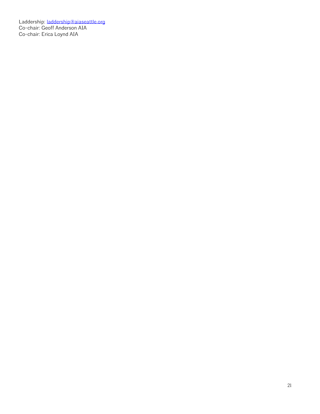Laddership: <u>laddership@aiaseattle.org</u> Co-chair: Geoff Anderson AIA Co-chair: Erica Loynd AIA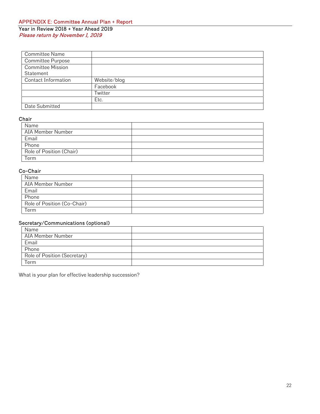# **APPENDIX E: Committee Annual Plan + Report Year in Review 2018 + Year Ahead 2019** *Please return by November 1, 2019*

| <b>Committee Name</b>      |              |
|----------------------------|--------------|
| <b>Committee Purpose</b>   |              |
| <b>Committee Mission</b>   |              |
| Statement                  |              |
| <b>Contact Information</b> | Website/blog |
|                            | Facebook     |
|                            | Twitter      |
|                            | Etc.         |
| Date Submitted             |              |

# **Chair**

| Name                     |  |
|--------------------------|--|
| AIA Member Number        |  |
| Email                    |  |
| Phone                    |  |
| Role of Position (Chair) |  |
| Term                     |  |

# **Co-Chair**

| Name                        |  |
|-----------------------------|--|
| AIA Member Number           |  |
| Email                       |  |
| Phone                       |  |
| Role of Position (Co-Chair) |  |
| Term                        |  |

# **Secretary/Communications (optional)**

| Name                         |  |
|------------------------------|--|
| AIA Member Number            |  |
| Email                        |  |
| Phone                        |  |
| Role of Position (Secretary) |  |
| Term                         |  |

What is your plan for effective leadership succession?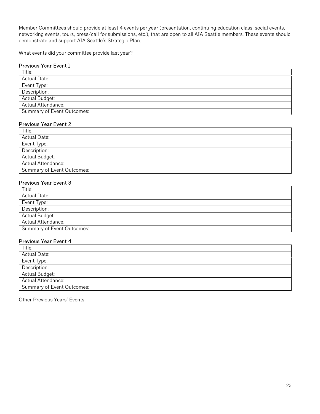Member Committees should provide at least 4 events per year (presentation, continuing education class, social events, networking events, tours, press/call for submissions, etc.), that are open to all AIA Seattle members. These events should demonstrate and support AIA Seattle's Strategic Plan.

What events did your committee provide last year?

# **Previous Year Event 1**

| Title:                     |
|----------------------------|
| <b>Actual Date:</b>        |
| Event Type:                |
| Description:               |
| Actual Budget:             |
| Actual Attendance:         |
| Summary of Event Outcomes: |

# **Previous Year Event 2**

| Title:                     |
|----------------------------|
| Actual Date:               |
| Event Type:                |
| Description:               |
| Actual Budget:             |
| Actual Attendance:         |
| Summary of Event Outcomes: |

# **Previous Year Event 3**

| Title:                            |  |
|-----------------------------------|--|
| <b>Actual Date:</b>               |  |
| Event Type:                       |  |
| Description:                      |  |
| Actual Budget:                    |  |
| Actual Attendance:                |  |
| <b>Summary of Event Outcomes:</b> |  |

# **Previous Year Event 4**

| Title:                            |  |
|-----------------------------------|--|
| <b>Actual Date:</b>               |  |
| Event Type:                       |  |
| Description:                      |  |
| Actual Budget:                    |  |
| Actual Attendance:                |  |
| <b>Summary of Event Outcomes:</b> |  |

Other Previous Years' Events: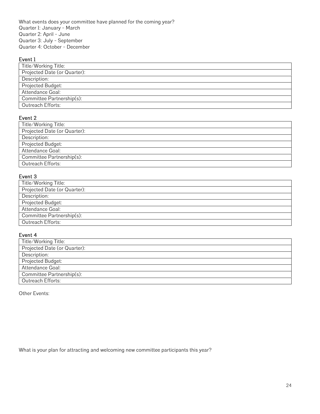What events does your committee have planned for the coming year? Quarter 1: January - March Quarter 2: April - June Quarter 3: July - September Quarter 4: October - December

# **Event 1**

| Title/Working Title:         |
|------------------------------|
| Projected Date (or Quarter): |
| Description:                 |
| Projected Budget:            |
| Attendance Goal:             |
| Committee Partnership(s):    |
| Outreach Efforts:            |

# **Event 2**

| Title/Working Title:         |
|------------------------------|
| Projected Date (or Quarter): |
| Description:                 |
| Projected Budget:            |
| Attendance Goal:             |
| Committee Partnership(s):    |
| Outreach Efforts:            |
|                              |

# **Event 3**

| Title/Working Title:         |
|------------------------------|
| Projected Date (or Quarter): |
| Description:                 |
| Projected Budget:            |
| Attendance Goal:             |
| Committee Partnership(s):    |
| Outreach Efforts:            |

# **Event 4**

| Title/Working Title:         |
|------------------------------|
| Projected Date (or Quarter): |
| Description:                 |
| Projected Budget:            |
| Attendance Goal:             |
| Committee Partnership(s):    |
| Outreach Efforts:            |

Other Events:

What is your plan for attracting and welcoming new committee participants this year?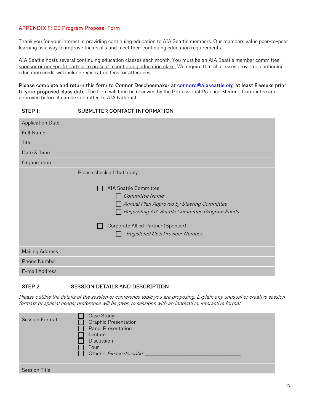# **APPENDIX F: CE Program Proposal Form**

Thank you for your interest in providing continuing education to AIA Seattle members. Our members value peer-to-peer learning as a way to improve their skills and meet their continuing education requirements.

AIA Seattle hosts several continuing education classes each month. You must be an AIA Seattle member committee, sponsor or non-profit partner to present a continuing education class. We require that all classes providing continuing education credit will include registration fees for attendees.

**Please complete and return this form to Connor Descheemaker at connord@aiaseattle.org at least 8 weeks prior to your proposed class date.** The form will then be reviewed by the Professional Practice Steering Committee and approved before it can be submitted to AIA National.

# **STEP 1: SUBMITTER CONTACT INFORMATION**

| <b>Application Date</b> |                                                                                                                                                                                                                                                                            |
|-------------------------|----------------------------------------------------------------------------------------------------------------------------------------------------------------------------------------------------------------------------------------------------------------------------|
| <b>Full Name</b>        |                                                                                                                                                                                                                                                                            |
| <b>Title</b>            |                                                                                                                                                                                                                                                                            |
| Date & Time             |                                                                                                                                                                                                                                                                            |
| Organization            |                                                                                                                                                                                                                                                                            |
|                         | Please check all that apply:<br><b>AIA Seattle Committee</b><br>Committee Name: ________<br>Annual Plan Approved by Steering Committee<br>Requesting AIA Seattle Committee Program Funds<br>Corporate Allied Partner (Sponsor)<br>Registered CES Provider Number: ________ |
| <b>Mailing Address</b>  |                                                                                                                                                                                                                                                                            |
| <b>Phone Number</b>     |                                                                                                                                                                                                                                                                            |
| E-mail Address          |                                                                                                                                                                                                                                                                            |

# **STEP 2: SESSION DETAILS AND DESCRIPTION**

*Please outline the details of the session or conference topic you are proposing. Explain any unusual or creative session formats or special needs; preference will be given to sessions with an innovative, interactive format.*

| <b>Session Format</b> | Case Study<br><b>Graphic Presentation</b><br>Panel Presentation<br>Lecture<br>Discussion<br>Tour<br>Other - Please describe: |
|-----------------------|------------------------------------------------------------------------------------------------------------------------------|
| <b>Session Title</b>  |                                                                                                                              |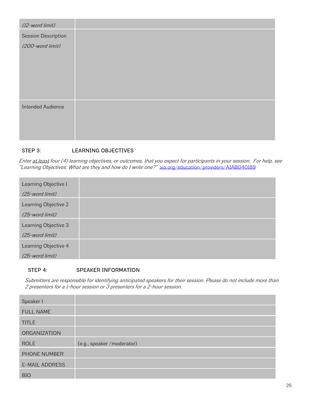| (12-word limit)          |  |
|--------------------------|--|
| Session Description      |  |
| (200-word limit)         |  |
|                          |  |
|                          |  |
|                          |  |
|                          |  |
|                          |  |
| <b>Intended Audience</b> |  |
|                          |  |
|                          |  |
|                          |  |

# **STEP 3: LEARNING OBJECTIVES**

*Enter at least four (4) learning objectives, or outcomes, that you expect for participants in your session. For help, see "Learning Objectives: What are they and how do I write one?"* aia.org/education/providers/AIAB040189

| Learning Objective 1 |  |
|----------------------|--|
| (25-word limit)      |  |
| Learning Objective 2 |  |
| (25-word limit)      |  |
| Learning Objective 3 |  |
| (25-word limit)      |  |
| Learning Objective 4 |  |
| (25-word limit)      |  |

# **STEP 4: SPEAKER INFORMATION**

*Submitters are responsible for identifying anticipated speakers for their session. Please do not include more than 2 presenters for a 1-hour session or 3 presenters for a 2-hour session.*

| Speaker 1             |                             |
|-----------------------|-----------------------------|
| <b>FULL NAME</b>      |                             |
| <b>TITLE</b>          |                             |
| ORGANIZATION          |                             |
| <b>ROLE</b>           | (e.g., speaker / moderator) |
| PHONE NUMBER          |                             |
| <b>E-MAIL ADDRESS</b> |                             |
| <b>BIO</b>            |                             |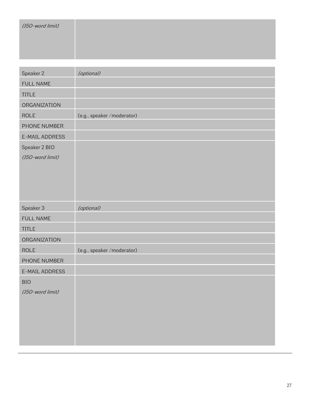| (150-word limit) |                             |
|------------------|-----------------------------|
| Speaker 2        | (optional)                  |
| <b>FULL NAME</b> |                             |
| <b>TITLE</b>     |                             |
| ORGANIZATION     |                             |
| <b>ROLE</b>      | (e.g., speaker /moderator)  |
| PHONE NUMBER     |                             |
| E-MAIL ADDRESS   |                             |
| Speaker 2 BIO    |                             |
| (150-word limit) |                             |
| Speaker 3        | (optional)                  |
| FULL NAME        |                             |
| <b>TITLE</b>     |                             |
| ORGANIZATION     |                             |
| <b>ROLE</b>      | (e.g., speaker / moderator) |
| PHONE NUMBER     |                             |
| E-MAIL ADDRESS   |                             |
| <b>BIO</b>       |                             |
| (150-word limit) |                             |
|                  |                             |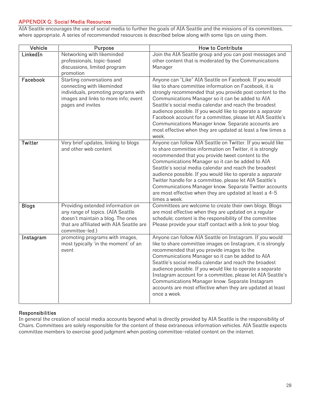# **APPENDIX G: Social Media Resources**

AIA Seattle encourages the use of social media to further the goals of AIA Seattle and the missions of its committees, where appropriate. A series of recommended resources is described below along with some tips on using them.

| Vehicle      | Purpose                                                                                                                                                                    | How to Contribute                                                                                                                                                                                                                                                                                                                                                                                                                                                                                                                                           |
|--------------|----------------------------------------------------------------------------------------------------------------------------------------------------------------------------|-------------------------------------------------------------------------------------------------------------------------------------------------------------------------------------------------------------------------------------------------------------------------------------------------------------------------------------------------------------------------------------------------------------------------------------------------------------------------------------------------------------------------------------------------------------|
| LinkedIn     | Networking with likeminded<br>professionals, topic-based<br>discussions, limited program<br>promotion                                                                      | Join the AIA Seattle group and you can post messages and<br>other content that is moderated by the Communications<br>Manager                                                                                                                                                                                                                                                                                                                                                                                                                                |
| Facebook     | Starting conversations and<br>connecting with likeminded<br>individuals, promoting programs with<br>images and links to more info; event<br>pages and invites              | Anyone can "Like" AIA Seattle on Facebook. If you would<br>like to share committee information on Facebook, it is<br>strongly recommended that you provide post content to the<br>Communications Manager so it can be added to AIA<br>Seattle's social media calendar and reach the broadest<br>audience possible. If you would like to operate a separate<br>Facebook account for a committee, please let AIA Seattle's<br>Communications Manager know. Separate accounts are<br>most effective when they are updated at least a few times a<br>week.      |
| Twitter      | Very brief updates, linking to blogs<br>and other web content                                                                                                              | Anyone can follow AIA Seattle on Twitter. If you would like<br>to share committee information on Twitter, it is strongly<br>recommended that you provide tweet content to the<br>Communications Manager so it can be added to AIA<br>Seattle's social media calendar and reach the broadest<br>audience possible. If you would like to operate a separate<br>Twitter handle for a committee, please let AIA Seattle's<br>Communications Manager know. Separate Twitter accounts<br>are most effective when they are updated at least a 4-5<br>times a week. |
| <b>Blogs</b> | Providing extended information on<br>any range of topics. (AIA Seattle<br>doesn't maintain a blog. The ones<br>that are affiliated with AIA Seattle are<br>committee-led.) | Committees are welcome to create their own blogs. Blogs<br>are most effective when they are updated on a regular<br>schedule; content is the responsibility of the committee<br>Please provide your staff contact with a link to your blog.                                                                                                                                                                                                                                                                                                                 |
| Instagram    | promoting programs with images,<br>most typically 'in the moment' of an<br>event                                                                                           | Anyone can follow AIA Seattle on Instagram. If you would<br>like to share committee images on Instagram, it is strongly<br>recommended that you provide images to the<br>Communications Manager so it can be added to AIA<br>Seattle's social media calendar and reach the broadest<br>audience possible. If you would like to operate a separate<br>Instagram account for a committee, please let AIA Seattle's<br>Communications Manager know. Separate Instagram<br>accounts are most effective when they are updated at least<br>once a week.           |

# **Responsibilities**

In general the creation of social media accounts beyond what is directly provided by AIA Seattle is the responsibility of Chairs. Committees are solely responsible for the content of these extraneous information vehicles. AIA Seattle expects committee members to exercise good judgment when posting committee-related content on the internet.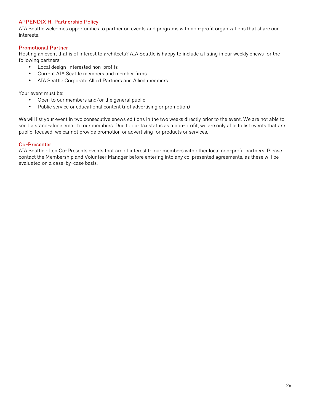# **APPENDIX H: Partnership Policy**

AIA Seattle welcomes opportunities to partner on events and programs with non-profit organizations that share our interests.

# **Promotional Partner**

Hosting an event that is of interest to architects? AIA Seattle is happy to include a listing in our weekly enews for the following partners:

- Local design-interested non-profits
- Current AIA Seattle members and member firms
- AIA Seattle Corporate Allied Partners and Allied members

Your event must be:

- Open to our members and/or the general public
- Public service or educational content (not advertising or promotion)

We will list your event in two consecutive enews editions in the two weeks directly prior to the event. We are not able to send a stand-alone email to our members. Due to our tax status as a non-profit, we are only able to list events that are public-focused; we cannot provide promotion or advertising for products or services.

## **Co-Presenter**

AIA Seattle often Co-Presents events that are of interest to our members with other local non-profit partners. Please contact the Membership and Volunteer Manager before entering into any co-presented agreements, as these will be evaluated on a case-by-case basis.